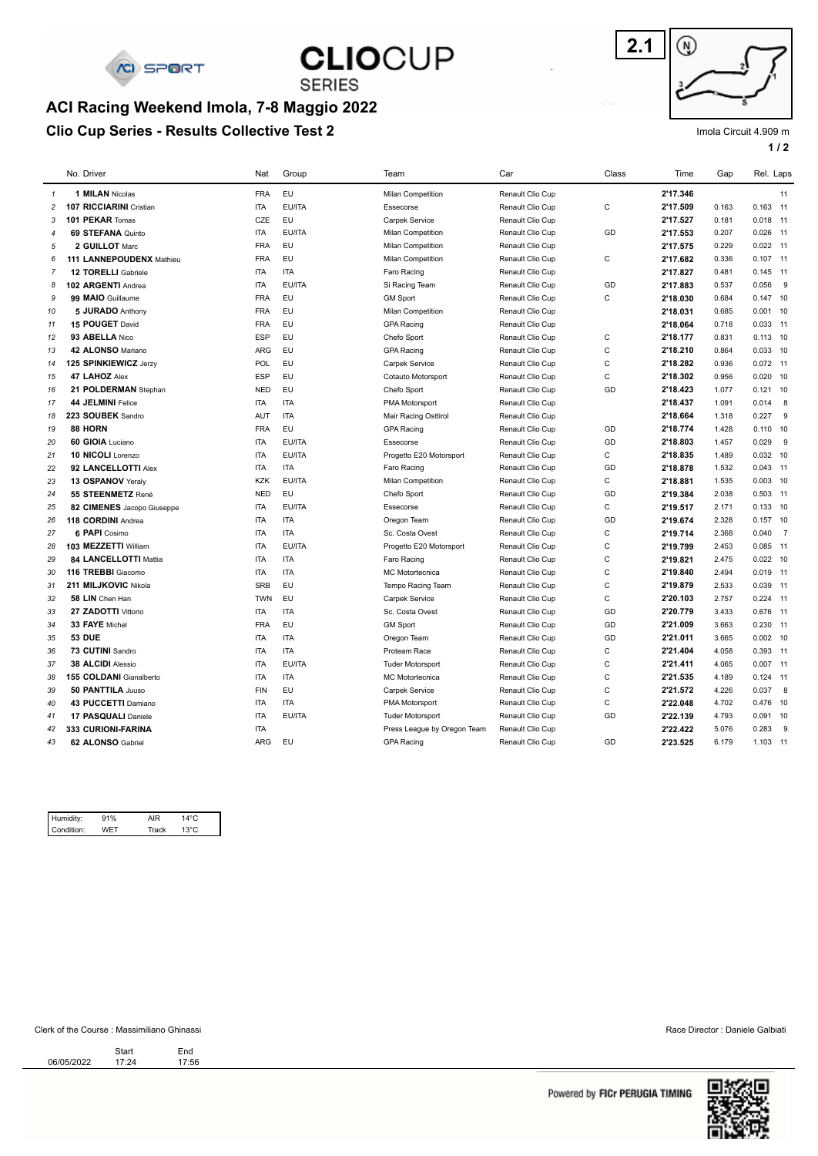

## **CLIOCUP SERIES**

### **Clio Cup Series - Results Collective Test 2 ACI Racing Weekend Imola, 7-8 Maggio 2022**



Imola Circuit 4.909 m

**1 / 2**

|                | No. Driver                 | Nat        | Group      | Team                        | Car              | Class        | Time     | Gap   | Rel. Laps  |     |
|----------------|----------------------------|------------|------------|-----------------------------|------------------|--------------|----------|-------|------------|-----|
| $\mathbf{1}$   | 1 MILAN Nicolas            | <b>FRA</b> | EU         | <b>Milan Competition</b>    | Renault Clio Cup |              | 2'17.346 |       |            | 11  |
| $\overline{c}$ | 107 RICCIARINI Cristian    | <b>ITA</b> | EU/ITA     | Essecorse                   | Renault Clio Cup | C            | 2'17.509 | 0.163 | $0.163$ 11 |     |
| 3              | 101 PEKAR Tomas            | CZE        | <b>EU</b>  | Carpek Service              | Renault Clio Cup |              | 2'17.527 | 0.181 | $0.018$ 11 |     |
| $\overline{4}$ | 69 STEFANA Quinto          | <b>ITA</b> | EU/ITA     | Milan Competition           | Renault Clio Cup | GD           | 2'17.553 | 0.207 | $0.026$ 11 |     |
| 5              | 2 GUILLOT Marc             | <b>FRA</b> | EU         | <b>Milan Competition</b>    | Renault Clio Cup |              | 2'17.575 | 0.229 | $0.022$ 11 |     |
| 6              | 111 LANNEPOUDENX Mathieu   | <b>FRA</b> | <b>EU</b>  | Milan Competition           | Renault Clio Cup | C            | 2'17.682 | 0.336 | $0.107$ 11 |     |
| $\overline{7}$ | <b>12 TORELLI</b> Gabriele | <b>ITA</b> | <b>ITA</b> | Faro Racing                 | Renault Clio Cup |              | 2'17.827 | 0.481 | $0.145$ 11 |     |
| 8              | 102 ARGENTI Andrea         | <b>ITA</b> | EU/ITA     | Si Racing Team              | Renault Clio Cup | GD           | 2'17.883 | 0.537 | 0.056      | - 9 |
| 9              | 99 MAIO Guillaume          | <b>FRA</b> | <b>EU</b>  | <b>GM Sport</b>             | Renault Clio Cup | $\mathsf C$  | 2'18.030 | 0.684 | $0.147$ 10 |     |
| 10             | 5 JURADO Anthony           | <b>FRA</b> | <b>EU</b>  | <b>Milan Competition</b>    | Renault Clio Cup |              | 2'18.031 | 0.685 | $0.001$ 10 |     |
| 11             | 15 POUGET David            | <b>FRA</b> | <b>EU</b>  | <b>GPA Racing</b>           | Renault Clio Cup |              | 2'18.064 | 0.718 | $0.033$ 11 |     |
| 12             | 93 ABELLA Nico             | ESP        | <b>EU</b>  | Chefo Sport                 | Renault Clio Cup | С            | 2'18.177 | 0.831 | $0.113$ 10 |     |
| 13             | 42 ALONSO Mariano          | <b>ARG</b> | EU         | <b>GPA Racing</b>           | Renault Clio Cup | $\mathsf{C}$ | 2'18.210 | 0.864 | $0.033$ 10 |     |
| 14             | 125 SPINKIEWICZ Jerzy      | POL        | EU         | Carpek Service              | Renault Clio Cup | C            | 2'18.282 | 0.936 | $0.072$ 11 |     |
| 15             | 47 LAHOZ Alex              | <b>ESP</b> | <b>EU</b>  | Cotauto Motorsport          | Renault Clio Cup | $\mathsf{C}$ | 2'18.302 | 0.956 | $0.020$ 10 |     |
| 16             | 21 POLDERMAN Stephan       | <b>NED</b> | <b>EU</b>  | Chefo Sport                 | Renault Clio Cup | GD           | 2'18.423 | 1.077 | $0.121$ 10 |     |
| 17             | 44 JELMINI Felice          | <b>ITA</b> | <b>ITA</b> | PMA Motorsport              | Renault Clio Cup |              | 2'18.437 | 1.091 | $0.014$ 8  |     |
| 18             | 223 SOUBEK Sandro          | <b>AUT</b> | <b>ITA</b> | Mair Racing Osttirol        | Renault Clio Cup |              | 2'18.664 | 1.318 | 0.227      | - 9 |
| 19             | 88 HORN                    | <b>FRA</b> | EU         | <b>GPA Racing</b>           | Renault Clio Cup | GD           | 2'18.774 | 1.428 | $0.110$ 10 |     |
| 20             | 60 GIOIA Luciano           | <b>ITA</b> | EU/ITA     | Essecorse                   | Renault Clio Cup | GD           | 2'18.803 | 1.457 | 0.029      | 9   |
| 21             | 10 NICOLI Lorenzo          | <b>ITA</b> | EU/ITA     | Progetto E20 Motorsport     | Renault Clio Cup | $\mathsf{C}$ | 2'18.835 | 1.489 | $0.032$ 10 |     |
| 22             | 92 LANCELLOTTI Alex        | <b>ITA</b> | <b>ITA</b> | Faro Racing                 | Renault Clio Cup | GD           | 2'18.878 | 1.532 | $0.043$ 11 |     |
| 23             | 13 OSPANOV Yeraly          | <b>KZK</b> | EU/ITA     | Milan Competition           | Renault Clio Cup | C            | 2'18.881 | 1.535 | $0.003$ 10 |     |
| 24             | 55 STEENMETZ René          | <b>NED</b> | EU         | Chefo Sport                 | Renault Clio Cup | GD           | 2'19.384 | 2.038 | $0.503$ 11 |     |
| 25             | 82 CIMENES Jacopo Giuseppe | <b>ITA</b> | EU/ITA     | Essecorse                   | Renault Clio Cup | $\mathsf{C}$ | 2'19.517 | 2.171 | $0.133$ 10 |     |
| 26             | 118 CORDINI Andrea         | <b>ITA</b> | <b>ITA</b> | Oregon Team                 | Renault Clio Cup | GD           | 2'19.674 | 2.328 | $0.157$ 10 |     |
| 27             | 6 PAPI Cosimo              | <b>ITA</b> | <b>ITA</b> | Sc. Costa Ovest             | Renault Clio Cup | C            | 2'19.714 | 2.368 | 0.040 7    |     |
| 28             | 103 MEZZETTI William       | <b>ITA</b> | EU/ITA     | Progetto E20 Motorsport     | Renault Clio Cup | C            | 2'19.799 | 2.453 | $0.085$ 11 |     |
| 29             | 84 LANCELLOTTI Mattia      | <b>ITA</b> | <b>ITA</b> | Faro Racing                 | Renault Clio Cup | C            | 2'19.821 | 2.475 | $0.022$ 10 |     |
| 30             | 116 TREBBI Giacomo         | <b>ITA</b> | <b>ITA</b> | <b>MC</b> Motortecnica      | Renault Clio Cup | $\mathsf C$  | 2'19.840 | 2.494 | $0.019$ 11 |     |
| 31             | 211 MILJKOVIC Nikola       | <b>SRB</b> | <b>EU</b>  | Tempo Racing Team           | Renault Clio Cup | $\mathsf{C}$ | 2'19.879 | 2.533 | 0.039 11   |     |
| 32             | 58 LIN Chen Han            | <b>TWN</b> | <b>EU</b>  | <b>Carpek Service</b>       | Renault Clio Cup | $\mathsf{C}$ | 2'20.103 | 2.757 | $0.224$ 11 |     |
| 33             | 27 ZADOTTI Vittorio        | <b>ITA</b> | <b>ITA</b> | Sc. Costa Ovest             | Renault Clio Cup | GD           | 2'20.779 | 3.433 | 0.676 11   |     |
| 34             | 33 FAYE Michel             | <b>FRA</b> | <b>EU</b>  | <b>GM Sport</b>             | Renault Clio Cup | GD           | 2'21.009 | 3.663 | $0.230$ 11 |     |
| 35             | <b>53 DUE</b>              | <b>ITA</b> | <b>ITA</b> | Oregon Team                 | Renault Clio Cup | GD           | 2'21.011 | 3.665 | $0.002$ 10 |     |
| 36             | 73 CUTINI Sandro           | <b>ITA</b> | <b>ITA</b> | Proteam Race                | Renault Clio Cup | C            | 2'21.404 | 4.058 | 0.393 11   |     |
| 37             | 38 ALCIDI Alessio          | <b>ITA</b> | EU/ITA     | <b>Tuder Motorsport</b>     | Renault Clio Cup | C            | 2'21.411 | 4.065 | $0.007$ 11 |     |
| 38             | 155 COLDANI Gianalberto    | <b>ITA</b> | <b>ITA</b> | <b>MC</b> Motortecnica      | Renault Clio Cup | C            | 2'21.535 | 4.189 | $0.124$ 11 |     |
| 39             | 50 PANTTILA Juuso          | <b>FIN</b> | <b>EU</b>  | Carpek Service              | Renault Clio Cup | C            | 2'21.572 | 4.226 | 0.037 8    |     |
| 40             | 43 PUCCETTI Damiano        | <b>ITA</b> | <b>ITA</b> | PMA Motorsport              | Renault Clio Cup | C            | 2'22.048 | 4.702 | 0.476 10   |     |
| 41             | 17 PASQUALI Daniele        | <b>ITA</b> | EU/ITA     | <b>Tuder Motorsport</b>     | Renault Clio Cup | GD           | 2'22.139 | 4.793 | $0.091$ 10 |     |
| 42             | <b>333 CURIONI-FARINA</b>  | <b>ITA</b> |            | Press League by Oregon Team | Renault Clio Cup |              | 2'22.422 | 5.076 | 0.283      | - 9 |
| 43             | 62 ALONSO Gabriel          | <b>ARG</b> | EU         | <b>GPA Racing</b>           | Renault Clio Cup | GD           | 2'23.525 | 6.179 | 1.103 11   |     |
|                |                            |            |            |                             |                  |              |          |       |            |     |

| Humidity:  | 91% | AIR   | $14^{\circ}$ C |  |
|------------|-----|-------|----------------|--|
| Condition: |     | Track | 13°C           |  |

#### Clerk of the Course : Massimiliano Ghinassi Race Director : Daniele Galbiati

Start End<br>06/05/2022 17:24 17:56 Start<br>17:24